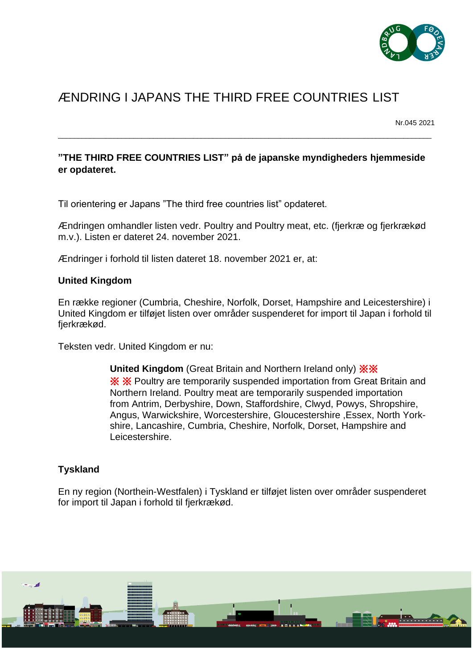

# ÆNDRING I JAPANS THE THIRD FREE COUNTRIES LIST

Nr.045 2021

# **"THE THIRD FREE COUNTRIES LIST" på de japanske myndigheders hjemmeside er opdateret.**

\_\_\_\_\_\_\_\_\_\_\_\_\_\_\_\_\_\_\_\_\_\_\_\_\_\_\_\_\_\_\_\_\_\_\_\_\_\_\_\_\_\_\_\_\_\_\_\_\_\_\_\_\_\_\_\_\_\_\_\_\_\_\_\_\_\_\_\_\_\_\_\_\_\_\_\_\_\_\_\_\_\_\_\_\_\_\_\_\_\_\_\_\_\_

Til orientering er Japans "The third free countries list" opdateret.

Ændringen omhandler listen vedr. Poultry and Poultry meat, etc. (fjerkræ og fjerkrækød m.v.). Listen er dateret 24. november 2021.

Ændringer i forhold til listen dateret 18. november 2021 er, at:

#### **United Kingdom**

En række regioner (Cumbria, Cheshire, Norfolk, Dorset, Hampshire and Leicestershire) i United Kingdom er tilføjet listen over områder suspenderet for import til Japan i forhold til fjerkrækød.

Teksten vedr. United Kingdom er nu:

**United Kingdom** (Great Britain and Northern Ireland only) ※※ ※ ※ Poultry are temporarily suspended importation from Great Britain and Northern Ireland. Poultry meat are temporarily suspended importation from Antrim, Derbyshire, Down, Staffordshire, Clwyd, Powys, Shropshire, Angus, Warwickshire, Worcestershire, Gloucestershire ,Essex, North Yorkshire, Lancashire, Cumbria, Cheshire, Norfolk, Dorset, Hampshire and Leicestershire.

#### **Tyskland**

En ny region (Northein-Westfalen) i Tyskland er tilføjet listen over områder suspenderet for import til Japan i forhold til fjerkrækød.